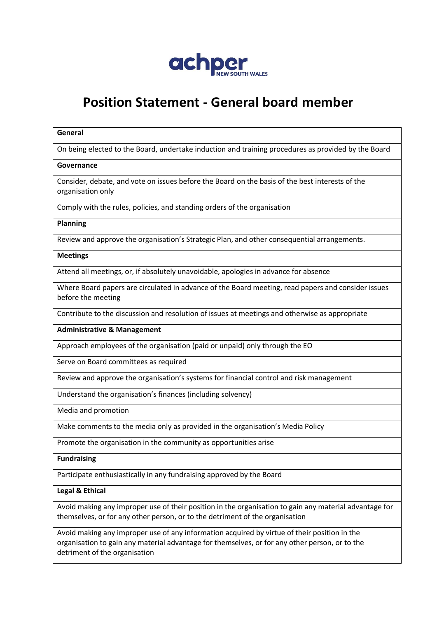

# **Position Statement - General board member**

#### **General**

On being elected to the Board, undertake induction and training procedures as provided by the Board

#### **Governance**

Consider, debate, and vote on issues before the Board on the basis of the best interests of the organisation only

Comply with the rules, policies, and standing orders of the organisation

#### **Planning**

Review and approve the organisation's Strategic Plan, and other consequential arrangements.

### **Meetings**

Attend all meetings, or, if absolutely unavoidable, apologies in advance for absence

Where Board papers are circulated in advance of the Board meeting, read papers and consider issues before the meeting

Contribute to the discussion and resolution of issues at meetings and otherwise as appropriate

**Administrative & Management**

Approach employees of the organisation (paid or unpaid) only through the EO

Serve on Board committees as required

Review and approve the organisation's systems for financial control and risk management

Understand the organisation's finances (including solvency)

Media and promotion

Make comments to the media only as provided in the organisation's Media Policy

Promote the organisation in the community as opportunities arise

#### **Fundraising**

Participate enthusiastically in any fundraising approved by the Board

## **Legal & Ethical**

Avoid making any improper use of their position in the organisation to gain any material advantage for themselves, or for any other person, or to the detriment of the organisation

Avoid making any improper use of any information acquired by virtue of their position in the organisation to gain any material advantage for themselves, or for any other person, or to the detriment of the organisation